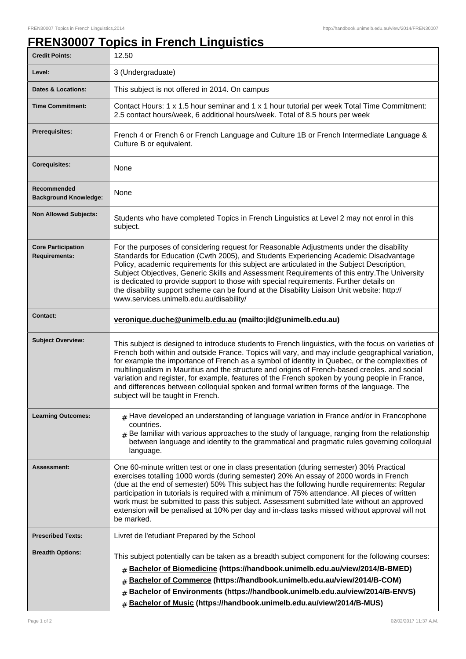## **FREN30007 Topics in French Linguistics**

| <b>Credit Points:</b>                             | 12.50                                                                                                                                                                                                                                                                                                                                                                                                                                                                                                                                                                                                                                         |
|---------------------------------------------------|-----------------------------------------------------------------------------------------------------------------------------------------------------------------------------------------------------------------------------------------------------------------------------------------------------------------------------------------------------------------------------------------------------------------------------------------------------------------------------------------------------------------------------------------------------------------------------------------------------------------------------------------------|
| Level:                                            | 3 (Undergraduate)                                                                                                                                                                                                                                                                                                                                                                                                                                                                                                                                                                                                                             |
| <b>Dates &amp; Locations:</b>                     | This subject is not offered in 2014. On campus                                                                                                                                                                                                                                                                                                                                                                                                                                                                                                                                                                                                |
| <b>Time Commitment:</b>                           | Contact Hours: 1 x 1.5 hour seminar and 1 x 1 hour tutorial per week Total Time Commitment:<br>2.5 contact hours/week, 6 additional hours/week. Total of 8.5 hours per week                                                                                                                                                                                                                                                                                                                                                                                                                                                                   |
| <b>Prerequisites:</b>                             | French 4 or French 6 or French Language and Culture 1B or French Intermediate Language &<br>Culture B or equivalent.                                                                                                                                                                                                                                                                                                                                                                                                                                                                                                                          |
| <b>Corequisites:</b>                              | None                                                                                                                                                                                                                                                                                                                                                                                                                                                                                                                                                                                                                                          |
| Recommended<br><b>Background Knowledge:</b>       | None                                                                                                                                                                                                                                                                                                                                                                                                                                                                                                                                                                                                                                          |
| <b>Non Allowed Subjects:</b>                      | Students who have completed Topics in French Linguistics at Level 2 may not enrol in this<br>subject.                                                                                                                                                                                                                                                                                                                                                                                                                                                                                                                                         |
| <b>Core Participation</b><br><b>Requirements:</b> | For the purposes of considering request for Reasonable Adjustments under the disability<br>Standards for Education (Cwth 2005), and Students Experiencing Academic Disadvantage<br>Policy, academic requirements for this subject are articulated in the Subject Description,<br>Subject Objectives, Generic Skills and Assessment Requirements of this entry. The University<br>is dedicated to provide support to those with special requirements. Further details on<br>the disability support scheme can be found at the Disability Liaison Unit website: http://<br>www.services.unimelb.edu.au/disability/                              |
| <b>Contact:</b>                                   | veronique.duche@unimelb.edu.au (mailto: jld@unimelb.edu.au)                                                                                                                                                                                                                                                                                                                                                                                                                                                                                                                                                                                   |
| <b>Subject Overview:</b>                          | This subject is designed to introduce students to French linguistics, with the focus on varieties of<br>French both within and outside France. Topics will vary, and may include geographical variation,<br>for example the importance of French as a symbol of identity in Quebec, or the complexities of<br>multilingualism in Mauritius and the structure and origins of French-based creoles. and social<br>variation and register, for example, features of the French spoken by young people in France,<br>and differences between colloquial spoken and formal written forms of the language. The<br>subject will be taught in French. |
| <b>Learning Outcomes:</b>                         | $#$ Have developed an understanding of language variation in France and/or in Francophone<br>countries.<br>$#$ Be familiar with various approaches to the study of language, ranging from the relationship<br>between language and identity to the grammatical and pragmatic rules governing colloquial<br>language.                                                                                                                                                                                                                                                                                                                          |
| Assessment:                                       | One 60-minute written test or one in class presentation (during semester) 30% Practical<br>exercises totalling 1000 words (during semester) 20% An essay of 2000 words in French<br>(due at the end of semester) 50% This subject has the following hurdle requirements: Regular<br>participation in tutorials is required with a minimum of 75% attendance. All pieces of written<br>work must be submitted to pass this subject. Assessment submitted late without an approved<br>extension will be penalised at 10% per day and in-class tasks missed without approval will not<br>be marked.                                              |
| <b>Prescribed Texts:</b>                          | Livret de l'etudiant Prepared by the School                                                                                                                                                                                                                                                                                                                                                                                                                                                                                                                                                                                                   |
| <b>Breadth Options:</b>                           | This subject potentially can be taken as a breadth subject component for the following courses:<br>Bachelor of Biomedicine (https://handbook.unimelb.edu.au/view/2014/B-BMED)<br>#<br>Bachelor of Commerce (https://handbook.unimelb.edu.au/view/2014/B-COM)<br>#<br>Bachelor of Environments (https://handbook.unimelb.edu.au/view/2014/B-ENVS)<br>#<br>Bachelor of Music (https://handbook.unimelb.edu.au/view/2014/B-MUS)<br>#                                                                                                                                                                                                             |